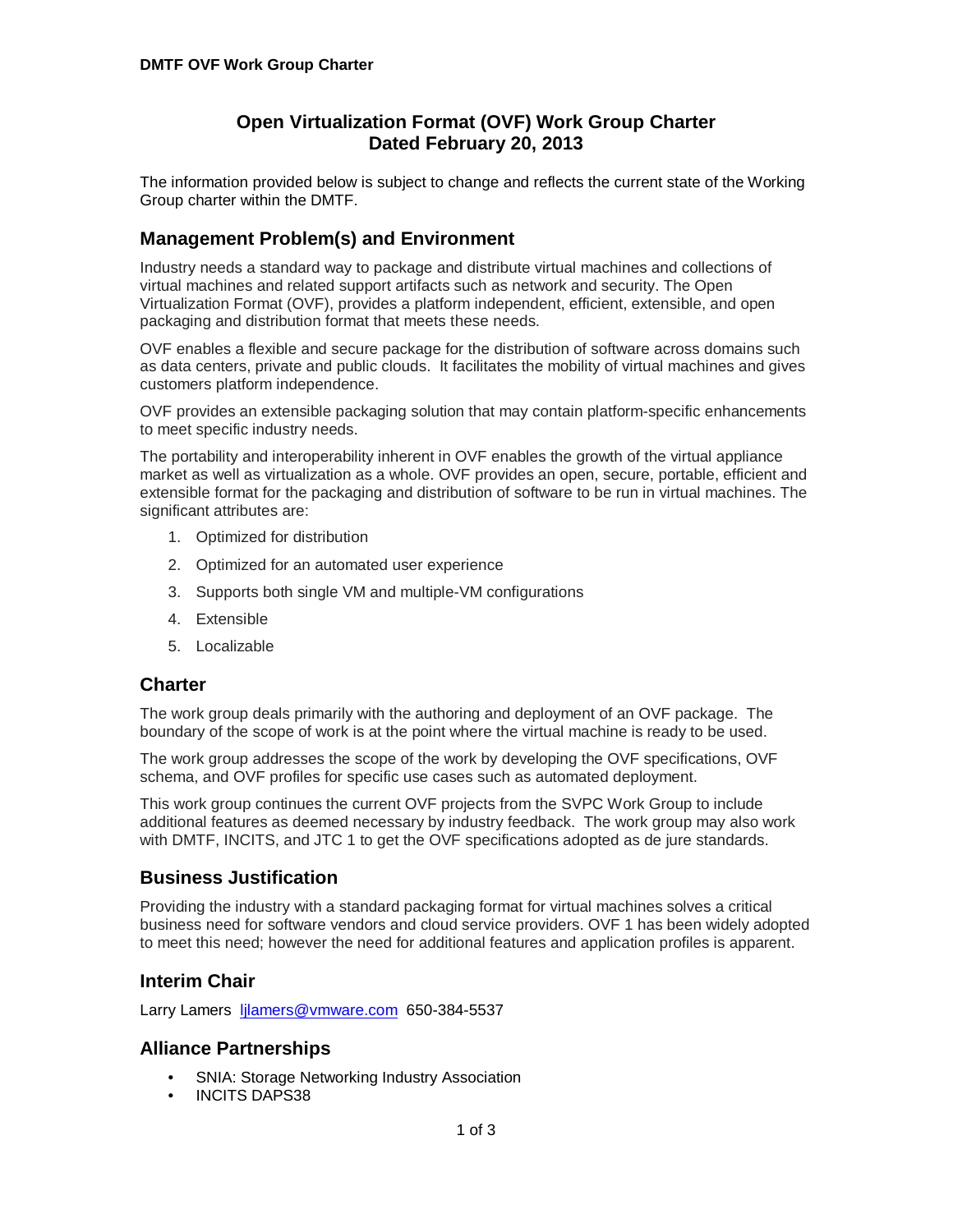# **Open Virtualization Format (OVF) Work Group Charter Dated February 20, 2013**

The information provided below is subject to change and reflects the current state of the Working Group charter within the DMTF.

# **Management Problem(s) and Environment**

Industry needs a standard way to package and distribute virtual machines and collections of virtual machines and related support artifacts such as network and security. The Open Virtualization Format (OVF), provides a platform independent, efficient, extensible, and open packaging and distribution format that meets these needs.

OVF enables a flexible and secure package for the distribution of software across domains such as data centers, private and public clouds. It facilitates the mobility of virtual machines and gives customers platform independence.

OVF provides an extensible packaging solution that may contain platform-specific enhancements to meet specific industry needs.

The portability and interoperability inherent in OVF enables the growth of the virtual appliance market as well as virtualization as a whole. OVF provides an open, secure, portable, efficient and extensible format for the packaging and distribution of software to be run in virtual machines. The significant attributes are:

- 1. Optimized for distribution
- 2. Optimized for an automated user experience
- 3. Supports both single VM and multiple-VM configurations
- 4. Extensible
- 5. Localizable

### **Charter**

The work group deals primarily with the authoring and deployment of an OVF package. The boundary of the scope of work is at the point where the virtual machine is ready to be used.

The work group addresses the scope of the work by developing the OVF specifications, OVF schema, and OVF profiles for specific use cases such as automated deployment.

This work group continues the current OVF projects from the SVPC Work Group to include additional features as deemed necessary by industry feedback. The work group may also work with DMTF, INCITS, and JTC 1 to get the OVF specifications adopted as de jure standards.

### **Business Justification**

Providing the industry with a standard packaging format for virtual machines solves a critical business need for software vendors and cloud service providers. OVF 1 has been widely adopted to meet this need; however the need for additional features and application profiles is apparent.

### **Interim Chair**

Larry Lamers [ljlamers@vmware.com](mailto:ljlamers@vmware.com) 650-384-5537

#### **Alliance Partnerships**

- SNIA: Storage Networking Industry Association
- INCITS DAPS38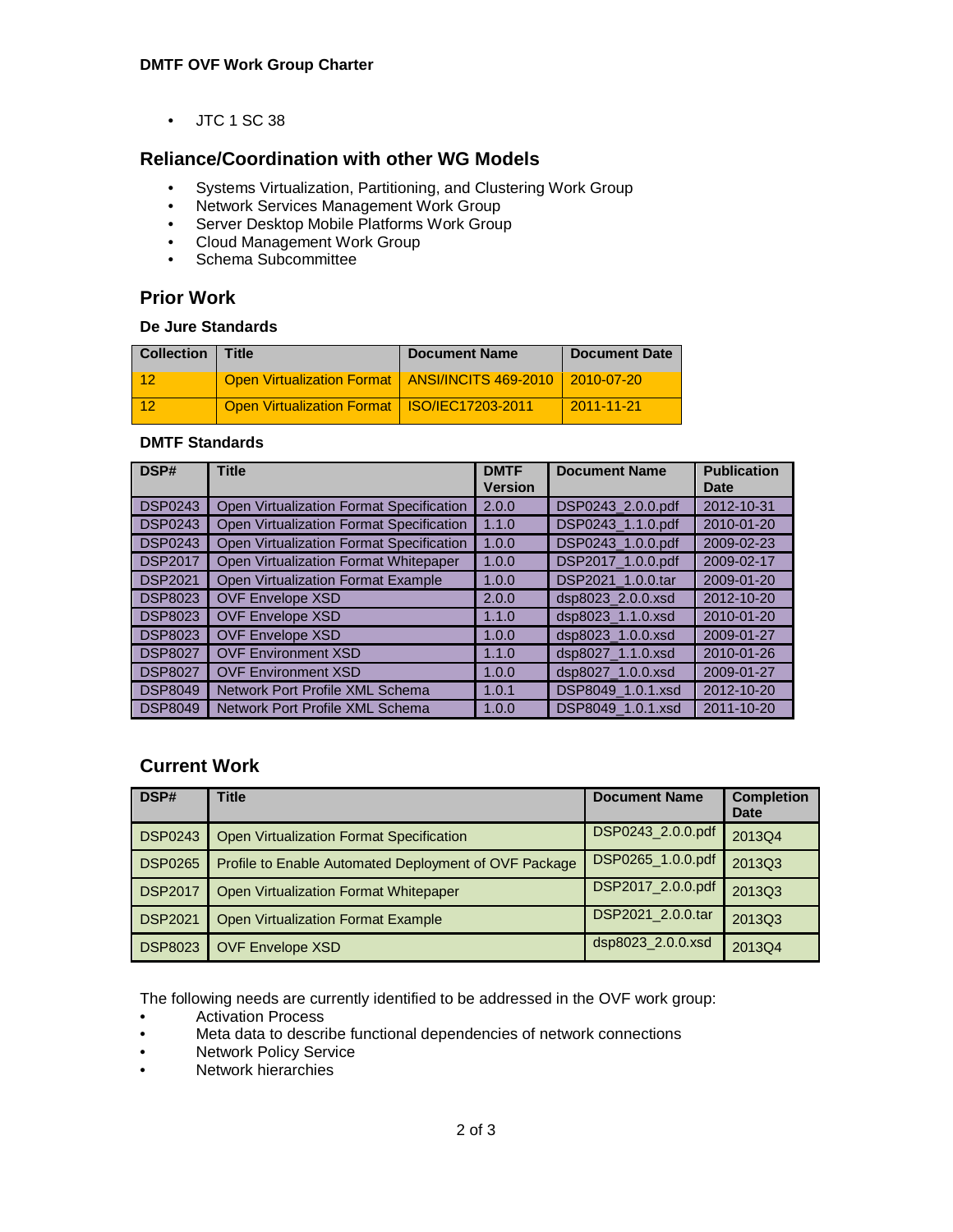• JTC 1 SC 38

## **Reliance/Coordination with other WG Models**

- Systems Virtualization, Partitioning, and Clustering Work Group
- Network Services Management Work Group
- Server Desktop Mobile Platforms Work Group
- Cloud Management Work Group
- Schema Subcommittee

### **Prior Work**

#### **De Jure Standards**

| <b>Collection   Title</b> |                                                                | <b>Document Name</b> | <b>Document Date</b> |
|---------------------------|----------------------------------------------------------------|----------------------|----------------------|
| 12                        | Open Virtualization Format   ANSI/INCITS 469-2010   2010-07-20 |                      |                      |
| 412                       | Open Virtualization Format   ISO/IEC17203-2011                 |                      | $2011 - 11 - 21$     |

#### **DMTF Standards**

| DSP#           | <b>Title</b>                             | <b>DMTF</b><br><b>Version</b> | <b>Document Name</b> | <b>Publication</b><br><b>Date</b> |
|----------------|------------------------------------------|-------------------------------|----------------------|-----------------------------------|
| <b>DSP0243</b> | Open Virtualization Format Specification | 2.0.0                         | DSP0243 2.0.0.pdf    | 2012-10-31                        |
| <b>DSP0243</b> | Open Virtualization Format Specification | 1.1.0                         | DSP0243_1.1.0.pdf    | 2010-01-20                        |
| <b>DSP0243</b> | Open Virtualization Format Specification | 1.0.0                         | DSP0243_1.0.0.pdf    | 2009-02-23                        |
| <b>DSP2017</b> | Open Virtualization Format Whitepaper    | 1.0.0                         | DSP2017 1.0.0.pdf    | 2009-02-17                        |
| <b>DSP2021</b> | Open Virtualization Format Example       | 1.0.0                         | DSP2021 1.0.0.tar    | 2009-01-20                        |
| <b>DSP8023</b> | <b>OVF Envelope XSD</b>                  | 2.0.0                         | dsp8023 2.0.0.xsd    | 2012-10-20                        |
| <b>DSP8023</b> | <b>OVF Envelope XSD</b>                  | 1.1.0                         | dsp8023 1.1.0.xsd    | 2010-01-20                        |
| <b>DSP8023</b> | <b>OVF Envelope XSD</b>                  | 1.0.0                         | dsp8023 1.0.0.xsd    | 2009-01-27                        |
| <b>DSP8027</b> | <b>OVF Environment XSD</b>               | 1.1.0                         | dsp8027 1.1.0.xsd    | 2010-01-26                        |
| <b>DSP8027</b> | <b>OVF Environment XSD</b>               | 1.0.0                         | dsp8027_1.0.0.xsd    | 2009-01-27                        |
| <b>DSP8049</b> | Network Port Profile XML Schema          | 1.0.1                         | DSP8049 1.0.1.xsd    | 2012-10-20                        |
| <b>DSP8049</b> | Network Port Profile XML Schema          | 1.0.0                         | DSP8049_1.0.1.xsd    | 2011-10-20                        |

## **Current Work**

| DSP#           | <b>Title</b>                                          | <b>Document Name</b> | <b>Completion</b><br>Date |
|----------------|-------------------------------------------------------|----------------------|---------------------------|
| <b>DSP0243</b> | Open Virtualization Format Specification              | DSP0243_2.0.0.pdf    | 2013Q4                    |
| <b>DSP0265</b> | Profile to Enable Automated Deployment of OVF Package | DSP0265_1.0.0.pdf    | 2013Q3                    |
| <b>DSP2017</b> | Open Virtualization Format Whitepaper                 | DSP2017_2.0.0.pdf    | 2013Q3                    |
| <b>DSP2021</b> | <b>Open Virtualization Format Example</b>             | DSP2021_2.0.0.tar    | 2013Q3                    |
| <b>DSP8023</b> | <b>OVF Envelope XSD</b>                               | dsp8023_2.0.0.xsd    | 2013Q4                    |

The following needs are currently identified to be addressed in the OVF work group:

- Activation Process<br>• Meta data to descri
- Meta data to describe functional dependencies of network connections
- Network Policy Service
- Network hierarchies